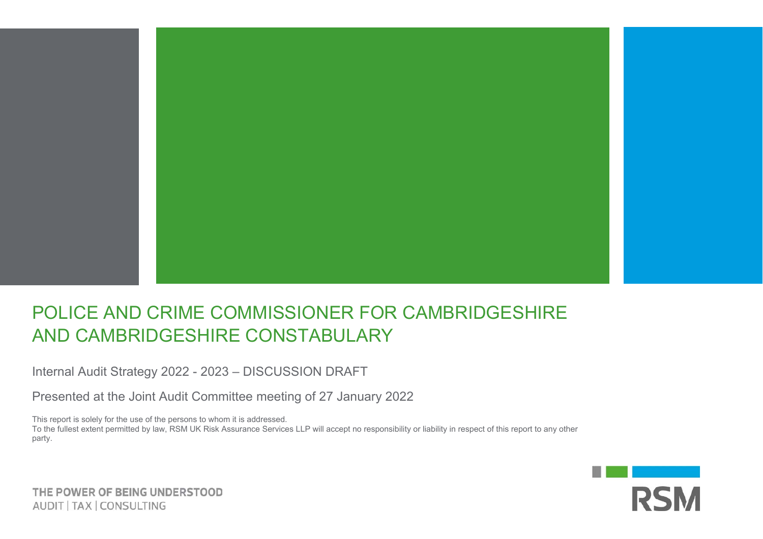

## POLICE AND CRIME COMMISSIONER FOR CAMBRIDGESHIRE AND CAMBRIDGESHIRE CONSTABULARY

Internal Audit Strategy 2022 - 2023 – DISCUSSION DRAFT

Presented at the Joint Audit Committee meeting of 27 January 2022

This report is solely for the use of the persons to whom it is addressed.

To the fullest extent permitted by law, RSM UK Risk Assurance Services LLP will accept no responsibility or liability in respect of this report to any other party.



THE POWER OF BEING UNDERSTOOD AUDIT | TAX | CONSULTING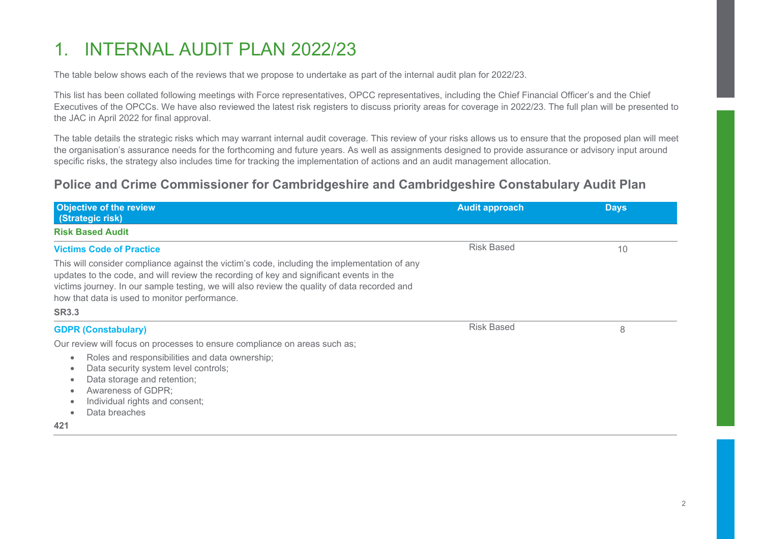## 1. INTERNAL AUDIT PLAN 2022/23

The table below shows each of the reviews that we propose to undertake as part of the internal audit plan for 2022/23.

This list has been collated following meetings with Force representatives, OPCC representatives, including the Chief Financial Officer's and the Chief Executives of the OPCCs. We have also reviewed the latest risk registers to discuss priority areas for coverage in 2022/23. The full plan will be presented to the JAC in April 2022 for final approval.

The table details the strategic risks which may warrant internal audit coverage. This review of your risks allows us to ensure that the proposed plan will meet the organisation's assurance needs for the forthcoming and future years. As well as assignments designed to provide assurance or advisory input around specific risks, the strategy also includes time for tracking the implementation of actions and an audit management allocation.

### **Police and Crime Commissioner for Cambridgeshire and Cambridgeshire Constabulary Audit Plan**

| <b>Audit approach</b> | <b>Days</b> |
|-----------------------|-------------|
|                       |             |
| <b>Risk Based</b>     | 10          |
| <b>Risk Based</b>     | 8           |
|                       |             |
|                       |             |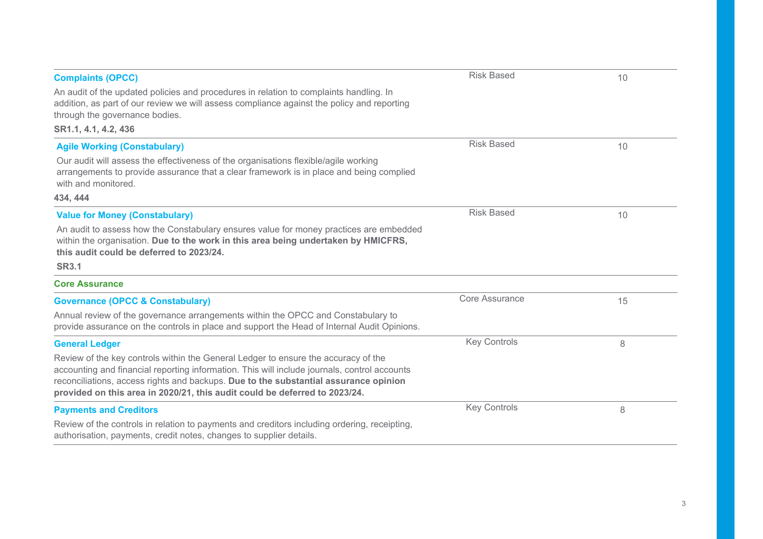| <b>Complaints (OPCC)</b>                                                                                                                                                                                                                                                                                                                                 | <b>Risk Based</b>     | 10 |
|----------------------------------------------------------------------------------------------------------------------------------------------------------------------------------------------------------------------------------------------------------------------------------------------------------------------------------------------------------|-----------------------|----|
| An audit of the updated policies and procedures in relation to complaints handling. In<br>addition, as part of our review we will assess compliance against the policy and reporting<br>through the governance bodies.                                                                                                                                   |                       |    |
| SR1.1, 4.1, 4.2, 436                                                                                                                                                                                                                                                                                                                                     |                       |    |
| <b>Agile Working (Constabulary)</b>                                                                                                                                                                                                                                                                                                                      | <b>Risk Based</b>     | 10 |
| Our audit will assess the effectiveness of the organisations flexible/agile working<br>arrangements to provide assurance that a clear framework is in place and being complied<br>with and monitored.                                                                                                                                                    |                       |    |
| 434, 444                                                                                                                                                                                                                                                                                                                                                 |                       |    |
| <b>Value for Money (Constabulary)</b>                                                                                                                                                                                                                                                                                                                    | <b>Risk Based</b>     | 10 |
| An audit to assess how the Constabulary ensures value for money practices are embedded<br>within the organisation. Due to the work in this area being undertaken by HMICFRS,<br>this audit could be deferred to 2023/24.<br><b>SR3.1</b>                                                                                                                 |                       |    |
| <b>Core Assurance</b>                                                                                                                                                                                                                                                                                                                                    |                       |    |
| <b>Governance (OPCC &amp; Constabulary)</b><br>Annual review of the governance arrangements within the OPCC and Constabulary to<br>provide assurance on the controls in place and support the Head of Internal Audit Opinions.                                                                                                                           | <b>Core Assurance</b> | 15 |
| <b>General Ledger</b>                                                                                                                                                                                                                                                                                                                                    | <b>Key Controls</b>   | 8  |
| Review of the key controls within the General Ledger to ensure the accuracy of the<br>accounting and financial reporting information. This will include journals, control accounts<br>reconciliations, access rights and backups. Due to the substantial assurance opinion<br>provided on this area in 2020/21, this audit could be deferred to 2023/24. |                       |    |
| <b>Payments and Creditors</b>                                                                                                                                                                                                                                                                                                                            | <b>Key Controls</b>   | 8  |
| Review of the controls in relation to payments and creditors including ordering, receipting,<br>authorisation, payments, credit notes, changes to supplier details.                                                                                                                                                                                      |                       |    |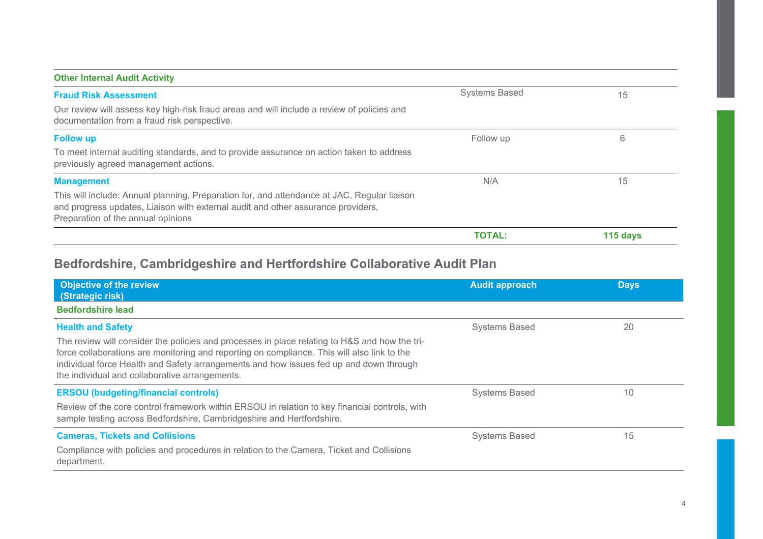| <b>Other Internal Audit Activity</b>                                                                                                                                                                                  |                      |          |
|-----------------------------------------------------------------------------------------------------------------------------------------------------------------------------------------------------------------------|----------------------|----------|
| <b>Fraud Risk Assessment</b>                                                                                                                                                                                          | <b>Systems Based</b> | 15       |
| Our review will assess key high-risk fraud areas and will include a review of policies and<br>documentation from a fraud risk perspective.                                                                            |                      |          |
| <b>Follow up</b>                                                                                                                                                                                                      | Follow up            | 6        |
| To meet internal auditing standards, and to provide assurance on action taken to address<br>previously agreed management actions.                                                                                     |                      |          |
| <b>Management</b>                                                                                                                                                                                                     | N/A                  | 15       |
| This will include: Annual planning, Preparation for, and attendance at JAC, Regular liaison<br>and progress updates, Liaison with external audit and other assurance providers,<br>Preparation of the annual opinions |                      |          |
|                                                                                                                                                                                                                       | <b>TOTAL:</b>        | 115 days |

### **Bedfordshire, Cambridgeshire and Hertfordshire Collaborative Audit Plan**

| <b>Objective of the review</b><br>(Strategic risk)                                                                                                                                                                                                                                                                                       | <b>Audit approach</b> | <b>Days</b> |
|------------------------------------------------------------------------------------------------------------------------------------------------------------------------------------------------------------------------------------------------------------------------------------------------------------------------------------------|-----------------------|-------------|
| <b>Bedfordshire lead</b>                                                                                                                                                                                                                                                                                                                 |                       |             |
| <b>Health and Safety</b>                                                                                                                                                                                                                                                                                                                 | <b>Systems Based</b>  | 20          |
| The review will consider the policies and processes in place relating to H&S and how the tri-<br>force collaborations are monitoring and reporting on compliance. This will also link to the<br>individual force Health and Safety arrangements and how issues fed up and down through<br>the individual and collaborative arrangements. |                       |             |
| <b>ERSOU</b> (budgeting/financial controls)                                                                                                                                                                                                                                                                                              | <b>Systems Based</b>  | 10          |
| Review of the core control framework within ERSOU in relation to key financial controls, with<br>sample testing across Bedfordshire, Cambridgeshire and Hertfordshire.                                                                                                                                                                   |                       |             |
| <b>Cameras, Tickets and Collisions</b>                                                                                                                                                                                                                                                                                                   | <b>Systems Based</b>  | 15          |
| Compliance with policies and procedures in relation to the Camera, Ticket and Collisions<br>department.                                                                                                                                                                                                                                  |                       |             |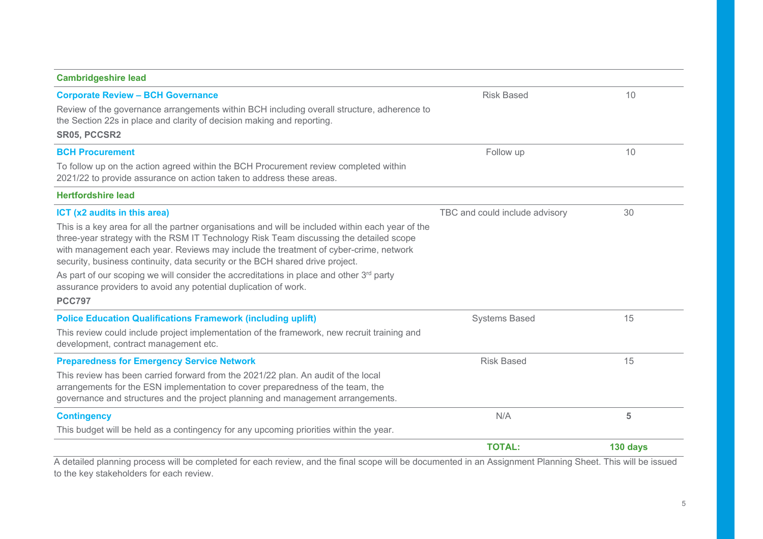### **Cambridgeshire lead Corporate Review – BCH Governance**  Review of the governance arrangements within BCH including overall structure, adherence to the Section 22s in place and clarity of decision making and reporting. **SR05, PCCSR2** Risk Based 10 **BCH Procurement** To follow up on the action agreed within the BCH Procurement review completed within 2021/22 to provide assurance on action taken to address these areas. Follow up 10 **Hertfordshire leadICT (x2 audits in this area)**  This is a key area for all the partner organisations and will be included within each year of the three-year strategy with the RSM IT Technology Risk Team discussing the detailed scope with management each year. Reviews may include the treatment of cyber-crime, network security, business continuity, data security or the BCH shared drive project. As part of our scoping we will consider the accreditations in place and other  $3<sup>rd</sup>$  party assurance providers to avoid any potential duplication of work. **PCC797**TBC and could include advisory 30 **Police Education Qualifications Framework (including uplift)**  This review could include project implementation of the framework, new recruit training and development, contract management etc. Systems Based 15 **Preparedness for Emergency Service Network**  This review has been carried forward from the 2021/22 plan. An audit of the local arrangements for the ESN implementation to cover preparedness of the team, the governance and structures and the project planning and management arrangements. Risk Based 15 **Contingency**  This budget will be held as a contingency for any upcoming priorities within the year. N/A **5 TOTAL:130 days**

A detailed planning process will be completed for each review, and the final scope will be documented in an Assignment Planning Sheet. This will be issued to the key stakeholders for each review.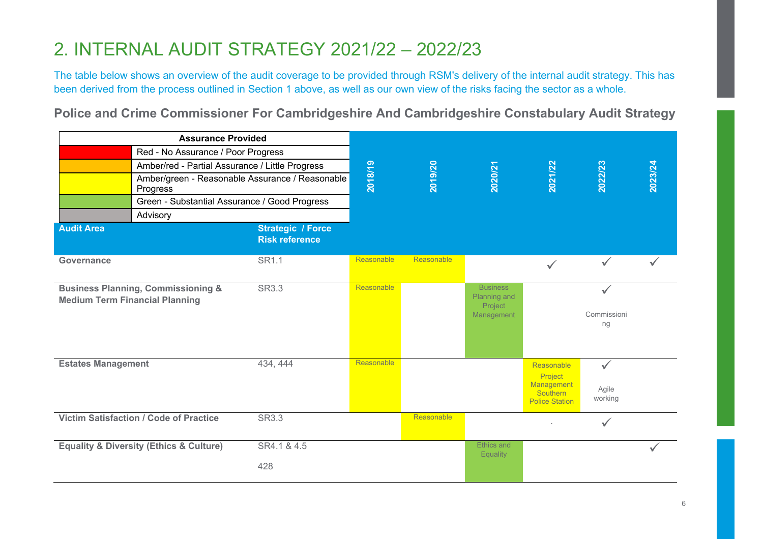## 2. INTERNAL AUDIT STRATEGY 2021/22 – 2022/23

The table below shows an overview of the audit coverage to be provided through RSM's delivery of the internal audit strategy. This has been derived from the process outlined in Section 1 above, as well as our own view of the risks facing the sector as a whole.

**Police and Crime Commissioner For Cambridgeshire And Cambridgeshire Constabulary Audit Strategy** 

| <b>Assurance Provided</b>             |                                                        |                                                   |            |            |                                                          |                                                                          |                                   |         |
|---------------------------------------|--------------------------------------------------------|---------------------------------------------------|------------|------------|----------------------------------------------------------|--------------------------------------------------------------------------|-----------------------------------|---------|
|                                       | Red - No Assurance / Poor Progress                     |                                                   |            |            |                                                          |                                                                          |                                   |         |
|                                       | Amber/red - Partial Assurance / Little Progress        |                                                   |            |            |                                                          |                                                                          |                                   |         |
|                                       | Progress                                               | Amber/green - Reasonable Assurance / Reasonable   | 2018/19    | 2019/20    | 2020/21                                                  | 2021/22                                                                  | 2022/23                           | 2023/24 |
|                                       | Green - Substantial Assurance / Good Progress          |                                                   |            |            |                                                          |                                                                          |                                   |         |
|                                       | Advisory                                               |                                                   |            |            |                                                          |                                                                          |                                   |         |
| <b>Audit Area</b>                     |                                                        | <b>Strategic / Force</b><br><b>Risk reference</b> |            |            |                                                          |                                                                          |                                   |         |
| Governance                            |                                                        | SR1.1                                             | Reasonable | Reasonable |                                                          | $\checkmark$                                                             | $\checkmark$                      |         |
| <b>Medium Term Financial Planning</b> | <b>Business Planning, Commissioning &amp;</b>          | <b>SR3.3</b>                                      | Reasonable |            | <b>Business</b><br>Planning and<br>Project<br>Management |                                                                          | $\checkmark$<br>Commissioni<br>ng |         |
| <b>Estates Management</b>             |                                                        | 434, 444                                          | Reasonable |            |                                                          | Reasonable<br>Project<br>Management<br>Southern<br><b>Police Station</b> | $\checkmark$<br>Agile<br>working  |         |
|                                       | <b>Victim Satisfaction / Code of Practice</b>          | <b>SR3.3</b>                                      |            | Reasonable |                                                          |                                                                          | $\checkmark$                      |         |
|                                       | <b>Equality &amp; Diversity (Ethics &amp; Culture)</b> | SR4.1 & 4.5<br>428                                |            |            | <b>Ethics and</b><br><b>Equality</b>                     |                                                                          |                                   |         |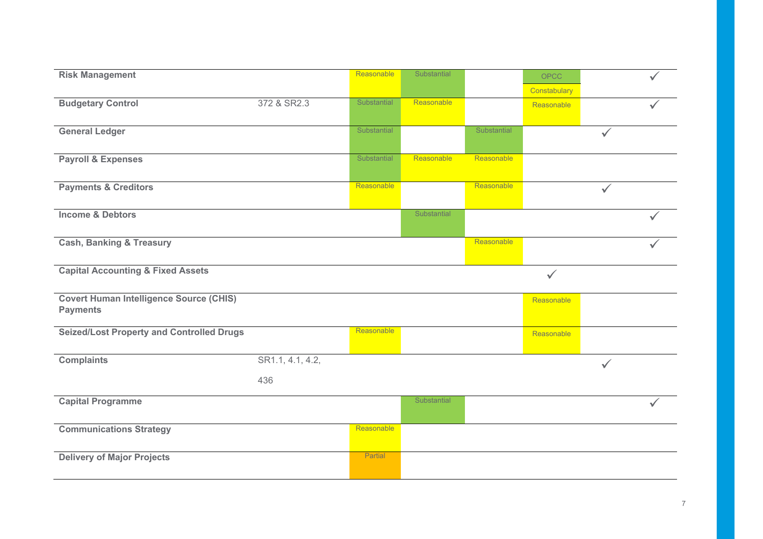| <b>Risk Management</b>                           |                  | Reasonable  | Substantial        |             | OPCC         |              |  |
|--------------------------------------------------|------------------|-------------|--------------------|-------------|--------------|--------------|--|
|                                                  |                  |             |                    |             | Constabulary |              |  |
| <b>Budgetary Control</b>                         | 372 & SR2.3      | Substantial | Reasonable         |             | Reasonable   |              |  |
|                                                  |                  |             |                    |             |              |              |  |
| <b>General Ledger</b>                            |                  | Substantial |                    | Substantial |              | $\checkmark$ |  |
|                                                  |                  |             |                    |             |              |              |  |
| <b>Payroll &amp; Expenses</b>                    |                  | Substantial | Reasonable         | Reasonable  |              |              |  |
|                                                  |                  | Reasonable  |                    | Reasonable  |              |              |  |
| <b>Payments &amp; Creditors</b>                  |                  |             |                    |             |              | $\checkmark$ |  |
| <b>Income &amp; Debtors</b>                      |                  |             | Substantial        |             |              |              |  |
|                                                  |                  |             |                    |             |              |              |  |
| <b>Cash, Banking &amp; Treasury</b>              |                  |             |                    | Reasonable  |              |              |  |
|                                                  |                  |             |                    |             |              |              |  |
| <b>Capital Accounting &amp; Fixed Assets</b>     |                  |             |                    |             |              |              |  |
|                                                  |                  |             |                    |             | $\checkmark$ |              |  |
|                                                  |                  |             |                    |             |              |              |  |
| <b>Covert Human Intelligence Source (CHIS)</b>   |                  |             |                    |             | Reasonable   |              |  |
| <b>Payments</b>                                  |                  |             |                    |             |              |              |  |
| <b>Seized/Lost Property and Controlled Drugs</b> |                  | Reasonable  |                    |             | Reasonable   |              |  |
|                                                  |                  |             |                    |             |              |              |  |
| <b>Complaints</b>                                | SR1.1, 4.1, 4.2, |             |                    |             |              | $\checkmark$ |  |
|                                                  | 436              |             |                    |             |              |              |  |
|                                                  |                  |             |                    |             |              |              |  |
| <b>Capital Programme</b>                         |                  |             | <b>Substantial</b> |             |              |              |  |
|                                                  |                  | Reasonable  |                    |             |              |              |  |
| <b>Communications Strategy</b>                   |                  |             |                    |             |              |              |  |
| <b>Delivery of Major Projects</b>                |                  | Partial     |                    |             |              |              |  |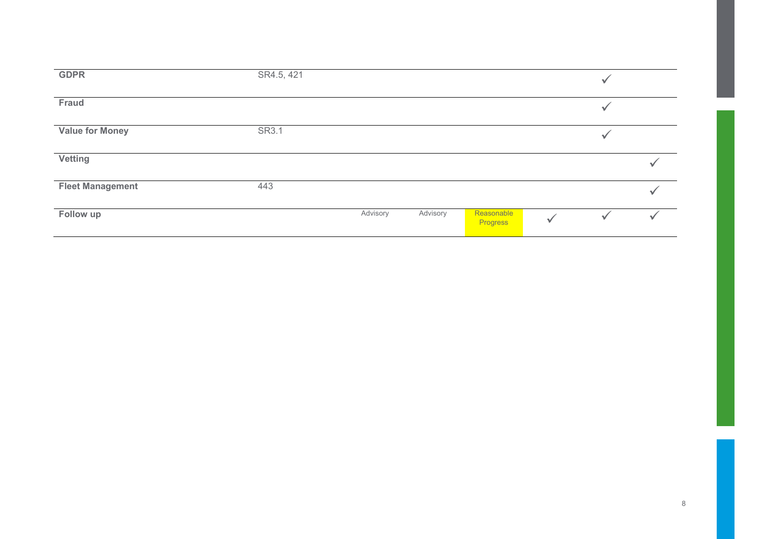| <b>GDPR</b>             | SR4.5, 421 |          |          |                        |   |  |
|-------------------------|------------|----------|----------|------------------------|---|--|
| Fraud                   |            |          |          |                        | ✔ |  |
| <b>Value for Money</b>  | SR3.1      |          |          |                        |   |  |
| <b>Vetting</b>          |            |          |          |                        |   |  |
| <b>Fleet Management</b> | 443        |          |          |                        |   |  |
| Follow up               |            | Advisory | Advisory | Reasonable<br>Progress |   |  |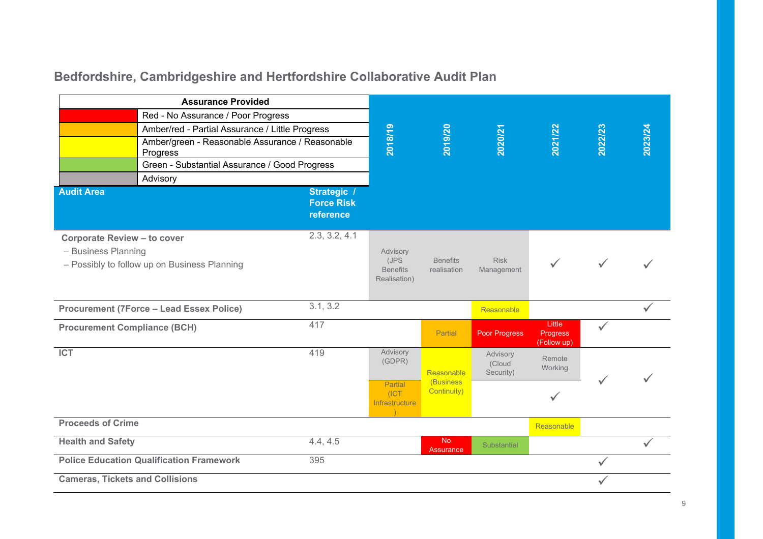## **Bedfordshire, Cambridgeshire and Hertfordshire Collaborative Audit Plan**

|                                                           | <b>Assurance Provided</b>                                   |                                               |                                                     |                                |                                 |                                          |              |         |
|-----------------------------------------------------------|-------------------------------------------------------------|-----------------------------------------------|-----------------------------------------------------|--------------------------------|---------------------------------|------------------------------------------|--------------|---------|
|                                                           | Red - No Assurance / Poor Progress                          |                                               |                                                     |                                |                                 |                                          |              |         |
|                                                           | Amber/red - Partial Assurance / Little Progress             |                                               |                                                     |                                |                                 |                                          |              |         |
|                                                           | Amber/green - Reasonable Assurance / Reasonable<br>Progress |                                               | 2018/19                                             | 2019/20                        | 2020/21                         | 2021/22                                  | 2022/23      | 2023/24 |
|                                                           | Green - Substantial Assurance / Good Progress               |                                               |                                                     |                                |                                 |                                          |              |         |
|                                                           | Advisory                                                    |                                               |                                                     |                                |                                 |                                          |              |         |
| <b>Audit Area</b>                                         |                                                             | Strategic /<br><b>Force Risk</b><br>reference |                                                     |                                |                                 |                                          |              |         |
| <b>Corporate Review - to cover</b><br>- Business Planning | - Possibly to follow up on Business Planning                | 2.3, 3.2, 4.1                                 | Advisory<br>(JPS<br><b>Benefits</b><br>Realisation) | <b>Benefits</b><br>realisation | <b>Risk</b><br>Management       |                                          |              |         |
|                                                           | <b>Procurement (7Force - Lead Essex Police)</b>             | 3.1, 3.2                                      |                                                     |                                | Reasonable                      |                                          |              |         |
| <b>Procurement Compliance (BCH)</b>                       |                                                             | 417                                           |                                                     | Partial                        | Poor Progress                   | Little<br><b>Progress</b><br>(Follow up) | $\checkmark$ |         |
| <b>ICT</b>                                                |                                                             | 419                                           | Advisory<br>(GDPR)                                  | Reasonable                     | Advisory<br>(Cloud<br>Security) | Remote<br>Working                        |              |         |
|                                                           |                                                             |                                               | Partial<br>(ICT)<br>Infrastructure                  | (Business)<br>Continuity)      |                                 |                                          |              |         |
| <b>Proceeds of Crime</b>                                  |                                                             |                                               |                                                     |                                |                                 | Reasonable                               |              |         |
| <b>Health and Safety</b>                                  |                                                             | 4.4, 4.5                                      |                                                     | No.<br><b>Assurance</b>        | Substantial                     |                                          |              |         |
|                                                           | <b>Police Education Qualification Framework</b>             | 395                                           |                                                     |                                |                                 |                                          | $\checkmark$ |         |
| <b>Cameras, Tickets and Collisions</b>                    |                                                             |                                               |                                                     |                                |                                 |                                          |              |         |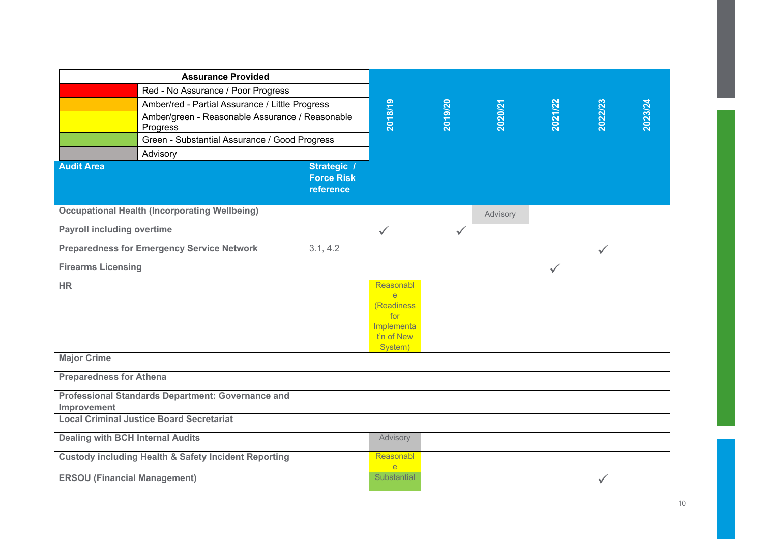|                                         | <b>Assurance Provided</b>                                       |                                               |                              |              |          |         |              |         |
|-----------------------------------------|-----------------------------------------------------------------|-----------------------------------------------|------------------------------|--------------|----------|---------|--------------|---------|
|                                         | Red - No Assurance / Poor Progress                              |                                               |                              |              |          |         |              |         |
|                                         | Amber/red - Partial Assurance / Little Progress                 |                                               |                              |              |          |         |              |         |
|                                         | Amber/green - Reasonable Assurance / Reasonable<br>Progress     |                                               | 2018/19                      | 2019/20      | 2020/21  | 2021/22 | 2022/23      | 2023/24 |
|                                         | Green - Substantial Assurance / Good Progress                   |                                               |                              |              |          |         |              |         |
|                                         | Advisory                                                        |                                               |                              |              |          |         |              |         |
| <b>Audit Area</b>                       |                                                                 | Strategic /<br><b>Force Risk</b><br>reference |                              |              |          |         |              |         |
|                                         | <b>Occupational Health (Incorporating Wellbeing)</b>            |                                               |                              |              | Advisory |         |              |         |
| <b>Payroll including overtime</b>       |                                                                 |                                               | $\checkmark$                 | $\checkmark$ |          |         |              |         |
|                                         | <b>Preparedness for Emergency Service Network</b>               | 3.1, 4.2                                      |                              |              |          |         | $\checkmark$ |         |
| <b>Firearms Licensing</b>               |                                                                 |                                               |                              |              |          | ✓       |              |         |
| HR                                      |                                                                 |                                               | Reasonabl                    |              |          |         |              |         |
|                                         |                                                                 |                                               | $\overline{e}$<br>(Readiness |              |          |         |              |         |
|                                         |                                                                 |                                               | for                          |              |          |         |              |         |
|                                         |                                                                 |                                               | Implementa                   |              |          |         |              |         |
|                                         |                                                                 |                                               | t'n of New<br>System)        |              |          |         |              |         |
| <b>Major Crime</b>                      |                                                                 |                                               |                              |              |          |         |              |         |
| <b>Preparedness for Athena</b>          |                                                                 |                                               |                              |              |          |         |              |         |
| Improvement                             | Professional Standards Department: Governance and               |                                               |                              |              |          |         |              |         |
|                                         | <b>Local Criminal Justice Board Secretariat</b>                 |                                               |                              |              |          |         |              |         |
| <b>Dealing with BCH Internal Audits</b> |                                                                 |                                               | Advisory                     |              |          |         |              |         |
|                                         | <b>Custody including Health &amp; Safety Incident Reporting</b> |                                               | Reasonabl<br>e               |              |          |         |              |         |
| <b>ERSOU (Financial Management)</b>     |                                                                 |                                               | Substantial                  |              |          |         | $\checkmark$ |         |